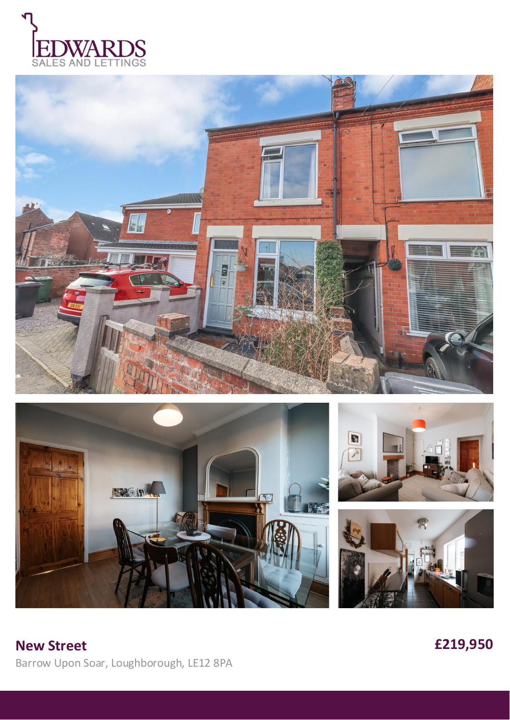









£219,950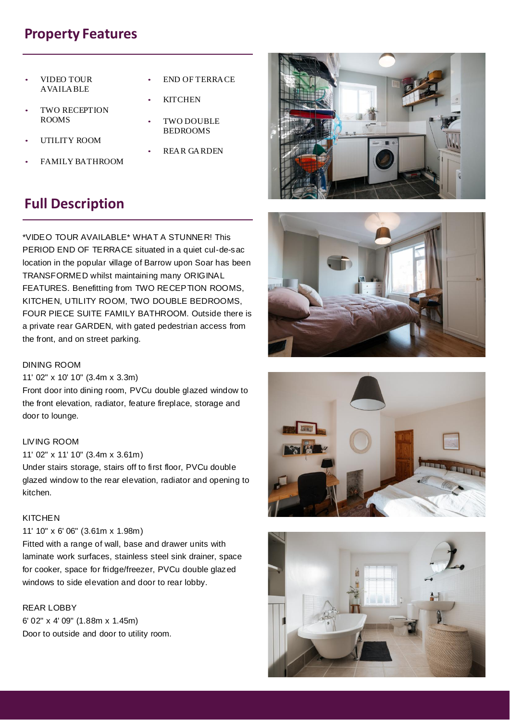# **Property Features**

- VIDEO TOUR AVAILABLE
- TWO RECEPTION ROOMS
- UTILITY ROOM
- FAMILY BATHROOM
- END OF TERRACE
- **KITCHEN**
- TWO DOUBLE **BEDROOMS**
- REAR GARDEN

# **Full Description**

\*VIDEO TOUR AVAILABLE\* WHAT A STUNNER! This PERIOD END OF TERRACE situated in a quiet cul-de-sac location in the popular village of Barrow upon Soar has been TRANSFORMED whilst maintaining many ORIGINAL FEATURES. Benefitting from TWO RECEPTION ROOMS, KITCHEN, UTILITY ROOM, TWO DOUBLE BEDROOMS, FOUR PIECE SUITE FAMILY BATHROOM. Outside there is a private rear GARDEN, with gated pedestrian access from the front, and on street parking.

### DINING ROOM

#### 11' 02" x 10' 10" (3.4m x 3.3m)

Front door into dining room, PVCu double glazed window to the front elevation, radiator, feature fireplace, storage and door to lounge.

## LIVING ROOM

#### 11' 02" x 11' 10" (3.4m x 3.61m)

Under stairs storage, stairs off to first floor, PVCu double glazed window to the rear elevation, radiator and opening to kitchen.

#### **KITCHEN**

## 11' 10" x 6' 06" (3.61m x 1.98m)

Fitted with a range of wall, base and drawer units with laminate work surfaces, stainless steel sink drainer, space for cooker, space for fridge/freezer, PVCu double glazed windows to side elevation and door to rear lobby.

## REAR LOBBY

6' 02" x 4' 09" (1.88m x 1.45m) Door to outside and door to utility room.







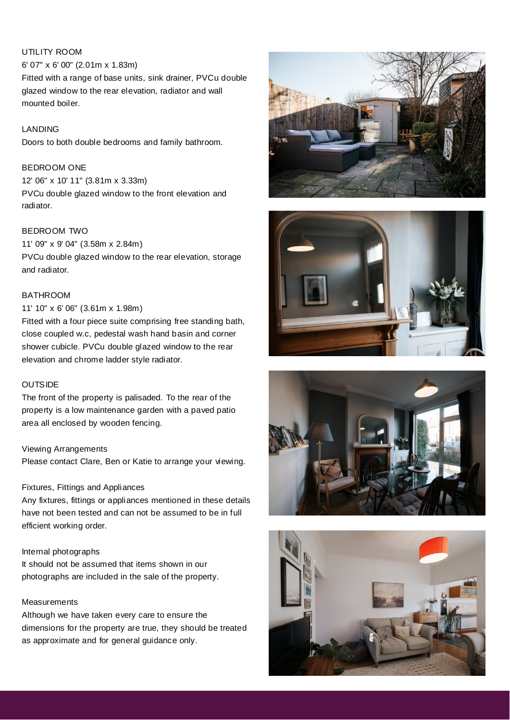## UTILITY ROOM

6' 07" x 6' 00" (2.01m x 1.83m) Fitted with a range of base units, sink drainer, PVCu double glazed window to the rear elevation, radiator and wall mounted boiler.

## LANDING

Doors to both double bedrooms and family bathroom.

## BEDROOM ONE

12' 06" x 10' 11" (3.81m x 3.33m) PVCu double glazed window to the front elevation and radiator.

## BEDROOM TWO

11' 09" x 9' 04" (3.58m x 2.84m) PVCu double glazed window to the rear elevation, storage and radiator.

#### BATHROOM

## 11' 10" x 6' 06" (3.61m x 1.98m)

Fitted with a four piece suite comprising free standing bath, close coupled w.c, pedestal wash hand basin and corner shower cubicle. PVCu double glazed window to the rear elevation and chrome ladder style radiator.

### **OUTSIDE**

The front of the property is palisaded. To the rear of the property is a low maintenance garden with a paved patio area all enclosed by wooden fencing.

#### Viewing Arrangements

Please contact Clare, Ben or Katie to arrange your viewing.

#### Fixtures, Fittings and Appliances

Any fixtures, fittings or appliances mentioned in these details have not been tested and can not be assumed to be in full efficient working order.

#### Internal photographs

It should not be assumed that items shown in our photographs are included in the sale of the property.

## **Measurements**

Although we have taken every care to ensure the dimensions for the property are true, they should be treated as approximate and for general guidance only.